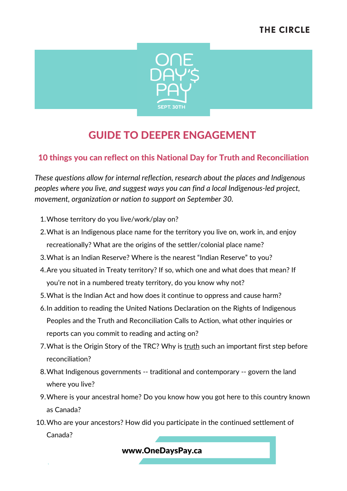

# GUIDE TO DEEPER ENGAGEMENT

### 10 things you can reflect on this National Day for Truth and Reconciliation

*These questions allow for internal reflection, research about the places and Indigenous peoples where you live, and suggest ways you can find a local Indigenous-led project, movement, organization or nation to support on September 30.*

- Whose territory do you live/work/play on? 1.
- What is an Indigenous place name for the territory you live on, work in, and enjoy 2. recreationally? What are the origins of the settler/colonial place name?
- What is an Indian Reserve? Where is the nearest "Indian Reserve" to you? 3.
- 4. Are you situated in Treaty territory? If so, which one and what does that mean? If you're not in a numbered treaty territory, do you know why not?
- What is the Indian Act and how does it continue to oppress and cause harm? 5.
- 6. In addition to reading the United Nations Declaration on the Rights of Indigenous Peoples and the Truth and Reconciliation Calls to Action, what other inquiries or reports can you commit to reading and acting on?
- 7. What is the Origin Story of the TRC? Why is truth such an important first step before reconciliation?
- What Indigenous governments -- traditional and contemporary -- govern the land 8. where you live?
- Where is your ancestral home? Do you know how you got here to this country known 9. as Canada?
- 10. Who are your ancestors? How did you participate in the continued settlement of Canada?

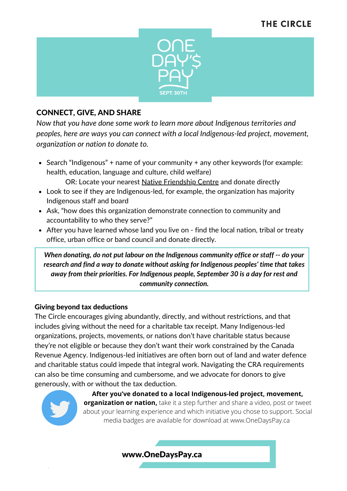## **THE CIRCLE**



#### CONNECT, GIVE, AND SHARE

*Now that you have done some work to learn more about Indigenous territories and peoples, here are ways you can connect with a local Indigenous-led project, movement, organization or nation to donate to.*

• Search "Indigenous" + name of your community + any other keywords (for example: health, education, language and culture, child welfare)

OR: Locate your nearest [Native Friendship Centre](https://nafc.ca/friendship-centres/find-a-friendship-centre?lang=en) and donate directly

- Look to see if they are Indigenous-led, for example, the organization has majority Indigenous staff and board
- Ask, "how does this organization demonstrate connection to community and accountability to who they serve?"
- After you have learned whose land you live on find the local nation, tribal or treaty office, urban office or band council and donate directly.

*When donating, do not put labour on the Indigenous community office or staff -- do your research and find a way to donate without asking for Indigenous peoples' time that takes away from their priorities. For Indigenous people, September 30 is a day for rest and community connection.*

#### Giving beyond tax deductions

The Circle encourages giving abundantly, directly, and without restrictions, and that includes giving without the need for a charitable tax receipt. Many Indigenous-led organizations, projects, movements, or nations don't have charitable status because they're not eligible or because they don't want their work constrained by the Canada Revenue Agency. Indigenous-led initiatives are often born out of land and water defence and charitable status could impede that integral work. Navigating the CRA requirements can also be time consuming and cumbersome, and we advocate for donors to give generously, with or without the tax deduction.



**After you've donated to a local Indigenous-led project, movement, organization or nation,** take it a step further and share a video, post or tweet about your learning experience and which initiative you chose to support. Social media badges are available for download at www.OneDaysPay.ca

#### www.OneDaysPay.ca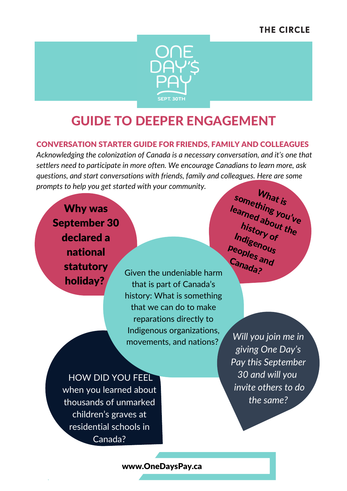## **THE CIRCLE**



# GUIDE TO DEEPER ENGAGEMENT

#### CONVERSATION STARTER GUIDE FOR FRIENDS, FAMILY AND COLLEAGUES

*Acknowledging the colonization of Canada is a necessary conversation, and it's one that settlers need to participate in more often. We encourage Canadians to learn more, ask questions, and start conversations with friends, family and colleagues. Here are some prompts to help you get started with your community.*

Why was September 30 declared a national statutory holiday?

Given the undeniable harm that is part of Canada's history: What is something that we can do to make reparations directly to Indigenous organizations, movements, and nations?

 $W_{hat\,is}$ something you've<br><sup>earned</sup> about <sup>ve</sup> learned about the hi<sub>story of</sub><br><sub>die</sub> Indigenous<br><sup>eont-</sub></sup> peoples and Canada?

HOW DID YOU FEEL when you learned about thousands of unmarked children's graves at residential schools in Canada?

*Will you join me in giving One Day's Pay this September 30 and will you invite others to do the same?*

www.OneDaysPay.ca